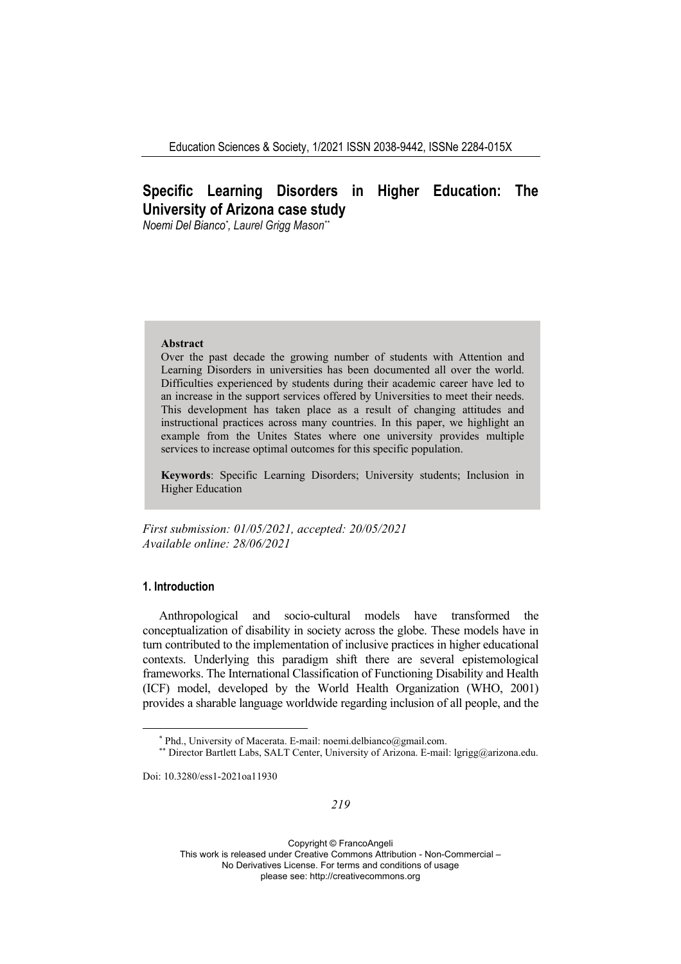# **Specific Learning Disorders in Higher Education: The University of Arizona case study**

*Noemi Del Bianco\* , Laurel Grigg Mason\*\**

#### **Abstract**

Over the past decade the growing number of students with Attention and Learning Disorders in universities has been documented all over the world. Difficulties experienced by students during their academic career have led to an increase in the support services offered by Universities to meet their needs. This development has taken place as a result of changing attitudes and instructional practices across many countries. In this paper, we highlight an example from the Unites States where one university provides multiple services to increase optimal outcomes for this specific population.

**Keywords**: Specific Learning Disorders; University students; Inclusion in Higher Education

*First submission: 19/05/2021, accepted: 20/05/2021 Available online: 28/06/2021*

# **1. Introduction**

Anthropological and socio-cultural models have transformed the conceptualization of disability in society across the globe. These models have in turn contributed to the implementation of inclusive practices in higher educational contexts. Underlying this paradigm shift there are several epistemological frameworks. The International Classification of Functioning Disability and Health (ICF) model, developed by the World Health Organization (WHO, 2001) provides a sharable language worldwide regarding inclusion of all people, and the

Doi: 10.3280/ess1-2021oa11930

<sup>\*</sup> Phd., University of Macerata. E-mail: noemi.delbianco@gmail.com. \*\* Director Bartlett Labs, SALT Center, University of Arizona. E-mail: lgrigg@arizona.edu.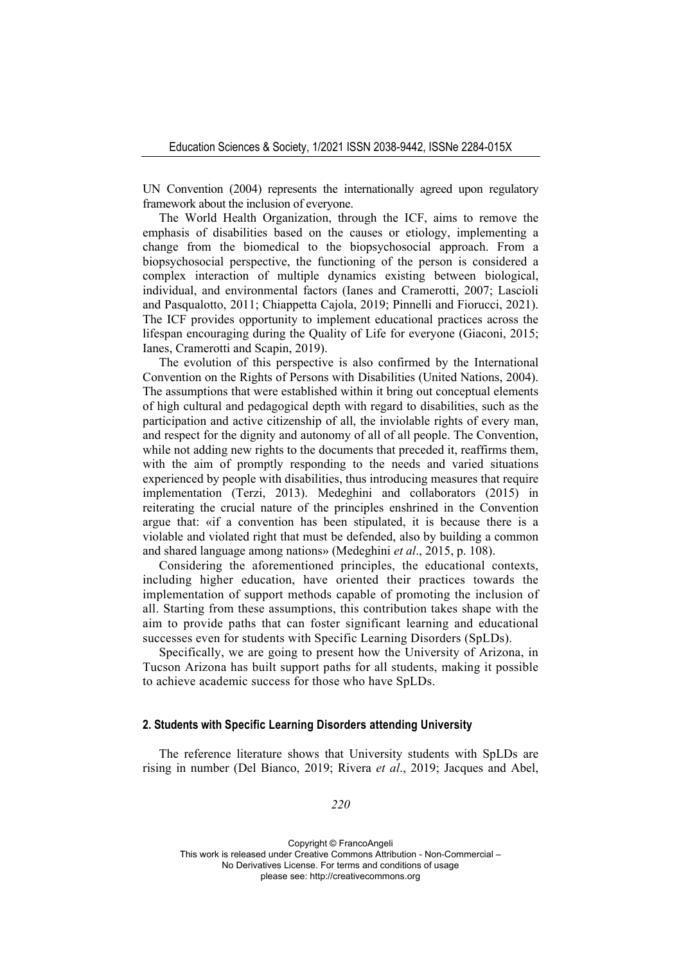UN Convention (2004) represents the internationally agreed upon regulatory framework about the inclusion of everyone.

The World Health Organization, through the ICF, aims to remove the emphasis of disabilities based on the causes or etiology, implementing a change from the biomedical to the biopsychosocial approach. From a biopsychosocial perspective, the functioning of the person is considered a complex interaction of multiple dynamics existing between biological, individual, and environmental factors (Ianes and Cramerotti, 2007; Lascioli and Pasqualotto, 2011; Chiappetta Cajola, 2019; Pinnelli and Fiorucci, 2021). The ICF provides opportunity to implement educational practices across the lifespan encouraging during the Quality of Life for everyone (Giaconi, 2015; Ianes, Cramerotti and Scapin, 2019).

The evolution of this perspective is also confirmed by the International Convention on the Rights of Persons with Disabilities (United Nations, 2004). The assumptions that were established within it bring out conceptual elements of high cultural and pedagogical depth with regard to disabilities, such as the participation and active citizenship of all, the inviolable rights of every man, and respect for the dignity and autonomy of all of all people. The Convention, while not adding new rights to the documents that preceded it, reaffirms them, with the aim of promptly responding to the needs and varied situations experienced by people with disabilities, thus introducing measures that require implementation (Terzi, 2013). Medeghini and collaborators (2015) in reiterating the crucial nature of the principles enshrined in the Convention argue that: «if a convention has been stipulated, it is because there is a violable and violated right that must be defended, also by building a common and shared language among nations» (Medeghini *et al*., 2015, p. 108).

Considering the aforementioned principles, the educational contexts, including higher education, have oriented their practices towards the implementation of support methods capable of promoting the inclusion of all. Starting from these assumptions, this contribution takes shape with the aim to provide paths that can foster significant learning and educational successes even for students with Specific Learning Disorders (SpLDs).

Specifically, we are going to present how the University of Arizona, in Tucson Arizona has built support paths for all students, making it possible to achieve academic success for those who have SpLDs.

### **2. Students with Specific Learning Disorders attending University**

The reference literature shows that University students with SpLDs are rising in number (Del Bianco, 2019; Rivera *et al*., 2019; Jacques and Abel,

*220*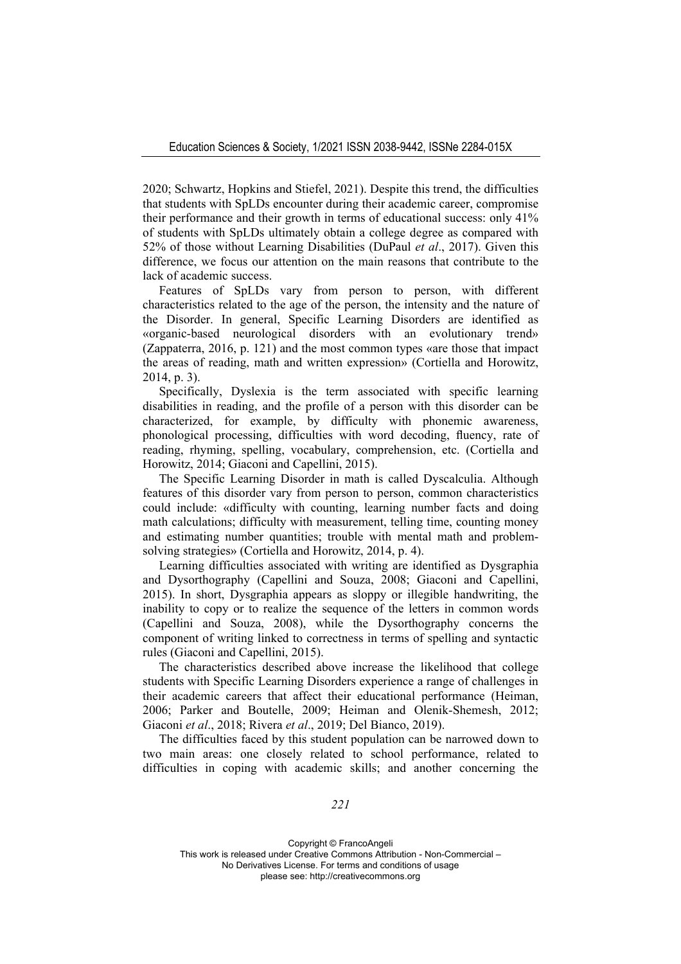2020; Schwartz, Hopkins and Stiefel, 2021). Despite this trend, the difficulties that students with SpLDs encounter during their academic career, compromise their performance and their growth in terms of educational success: only 41% of students with SpLDs ultimately obtain a college degree as compared with 52% of those without Learning Disabilities (DuPaul *et al*., 2017). Given this difference, we focus our attention on the main reasons that contribute to the lack of academic success.

Features of SpLDs vary from person to person, with different characteristics related to the age of the person, the intensity and the nature of the Disorder. In general, Specific Learning Disorders are identified as «organic-based neurological disorders with an evolutionary trend» (Zappaterra, 2016, p. 121) and the most common types «are those that impact the areas of reading, math and written expression» (Cortiella and Horowitz, 2014, p. 3).

Specifically, Dyslexia is the term associated with specific learning disabilities in reading, and the profile of a person with this disorder can be characterized, for example, by difficulty with phonemic awareness, phonological processing, difficulties with word decoding, fluency, rate of reading, rhyming, spelling, vocabulary, comprehension, etc. (Cortiella and Horowitz, 2014; Giaconi and Capellini, 2015).

The Specific Learning Disorder in math is called Dyscalculia. Although features of this disorder vary from person to person, common characteristics could include: «difficulty with counting, learning number facts and doing math calculations; difficulty with measurement, telling time, counting money and estimating number quantities; trouble with mental math and problemsolving strategies» (Cortiella and Horowitz, 2014, p. 4).

Learning difficulties associated with writing are identified as Dysgraphia and Dysorthography (Capellini and Souza, 2008; Giaconi and Capellini, 2015). In short, Dysgraphia appears as sloppy or illegible handwriting, the inability to copy or to realize the sequence of the letters in common words (Capellini and Souza, 2008), while the Dysorthography concerns the component of writing linked to correctness in terms of spelling and syntactic rules (Giaconi and Capellini, 2015).

The characteristics described above increase the likelihood that college students with Specific Learning Disorders experience a range of challenges in their academic careers that affect their educational performance (Heiman, 2006; Parker and Boutelle, 2009; Heiman and Olenik-Shemesh, 2012; Giaconi *et al*., 2018; Rivera *et al*., 2019; Del Bianco, 2019).

The difficulties faced by this student population can be narrowed down to two main areas: one closely related to school performance, related to difficulties in coping with academic skills; and another concerning the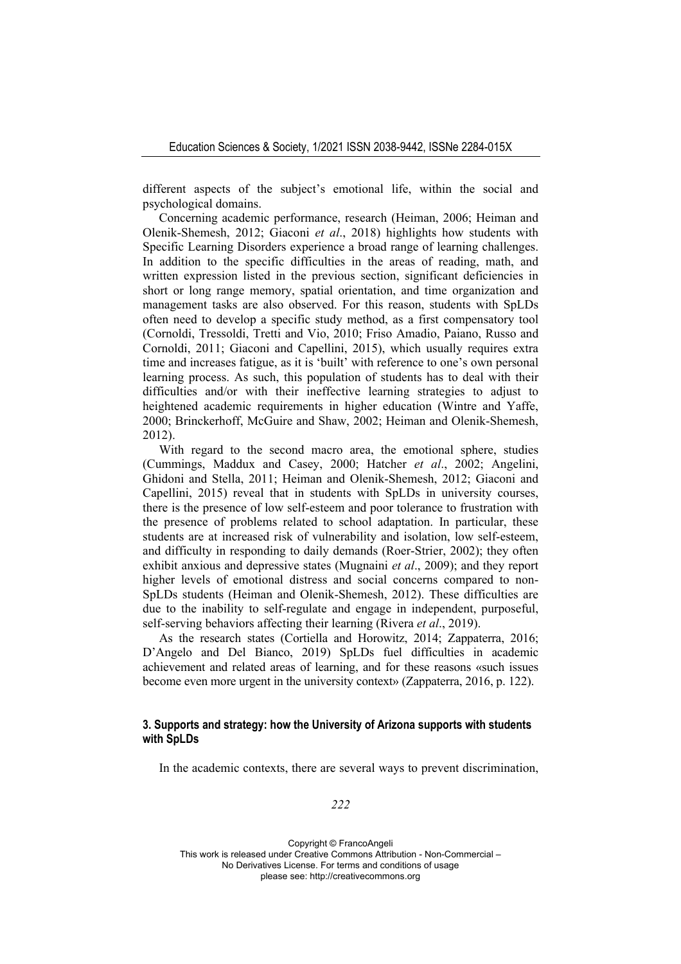different aspects of the subject's emotional life, within the social and psychological domains.

Concerning academic performance, research (Heiman, 2006; Heiman and Olenik-Shemesh, 2012; Giaconi *et al*., 2018) highlights how students with Specific Learning Disorders experience a broad range of learning challenges. In addition to the specific difficulties in the areas of reading, math, and written expression listed in the previous section, significant deficiencies in short or long range memory, spatial orientation, and time organization and management tasks are also observed. For this reason, students with SpLDs often need to develop a specific study method, as a first compensatory tool (Cornoldi, Tressoldi, Tretti and Vio, 2010; Friso Amadio, Paiano, Russo and Cornoldi, 2011; Giaconi and Capellini, 2015), which usually requires extra time and increases fatigue, as it is 'built' with reference to one's own personal learning process. As such, this population of students has to deal with their difficulties and/or with their ineffective learning strategies to adjust to heightened academic requirements in higher education (Wintre and Yaffe, 2000; Brinckerhoff, McGuire and Shaw, 2002; Heiman and Olenik-Shemesh, 2012).

With regard to the second macro area, the emotional sphere, studies (Cummings, Maddux and Casey, 2000; Hatcher *et al*., 2002; Angelini, Ghidoni and Stella, 2011; Heiman and Olenik-Shemesh, 2012; Giaconi and Capellini, 2015) reveal that in students with SpLDs in university courses, there is the presence of low self-esteem and poor tolerance to frustration with the presence of problems related to school adaptation. In particular, these students are at increased risk of vulnerability and isolation, low self-esteem, and difficulty in responding to daily demands (Roer-Strier, 2002); they often exhibit anxious and depressive states (Mugnaini *et al*., 2009); and they report higher levels of emotional distress and social concerns compared to non-SpLDs students (Heiman and Olenik-Shemesh, 2012). These difficulties are due to the inability to self-regulate and engage in independent, purposeful, self-serving behaviors affecting their learning (Rivera *et al*., 2019).

As the research states (Cortiella and Horowitz, 2014; Zappaterra, 2016; D'Angelo and Del Bianco, 2019) SpLDs fuel difficulties in academic achievement and related areas of learning, and for these reasons «such issues become even more urgent in the university context» (Zappaterra, 2016, p. 122).

## **3. Supports and strategy: how the University of Arizona supports with students with SpLDs**

In the academic contexts, there are several ways to prevent discrimination,

*222*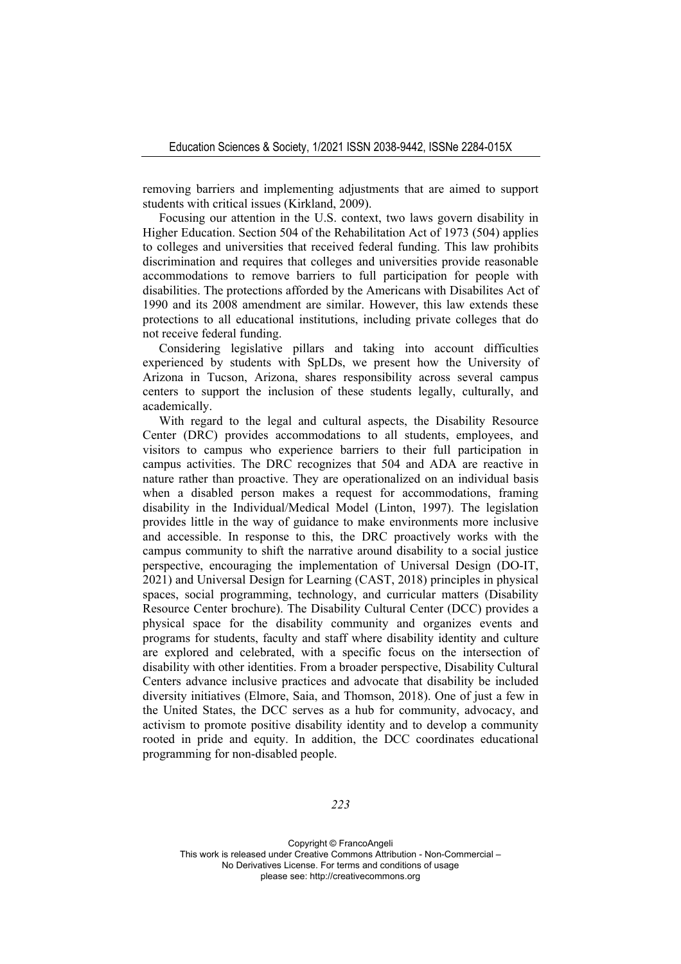removing barriers and implementing adjustments that are aimed to support students with critical issues (Kirkland, 2009).

Focusing our attention in the U.S. context, two laws govern disability in Higher Education. Section 504 of the Rehabilitation Act of 1973 (504) applies to colleges and universities that received federal funding. This law prohibits discrimination and requires that colleges and universities provide reasonable accommodations to remove barriers to full participation for people with disabilities. The protections afforded by the Americans with Disabilites Act of 1990 and its 2008 amendment are similar. However, this law extends these protections to all educational institutions, including private colleges that do not receive federal funding.

Considering legislative pillars and taking into account difficulties experienced by students with SpLDs, we present how the University of Arizona in Tucson, Arizona, shares responsibility across several campus centers to support the inclusion of these students legally, culturally, and academically.

With regard to the legal and cultural aspects, the Disability Resource Center (DRC) provides accommodations to all students, employees, and visitors to campus who experience barriers to their full participation in campus activities. The DRC recognizes that 504 and ADA are reactive in nature rather than proactive. They are operationalized on an individual basis when a disabled person makes a request for accommodations, framing disability in the Individual/Medical Model (Linton, 1997). The legislation provides little in the way of guidance to make environments more inclusive and accessible. In response to this, the DRC proactively works with the campus community to shift the narrative around disability to a social justice perspective, encouraging the implementation of Universal Design (DO-IT, 2021) and Universal Design for Learning (CAST, 2018) principles in physical spaces, social programming, technology, and curricular matters (Disability Resource Center brochure). The Disability Cultural Center (DCC) provides a physical space for the disability community and organizes events and programs for students, faculty and staff where disability identity and culture are explored and celebrated, with a specific focus on the intersection of disability with other identities. From a broader perspective, Disability Cultural Centers advance inclusive practices and advocate that disability be included diversity initiatives (Elmore, Saia, and Thomson, 2018). One of just a few in the United States, the DCC serves as a hub for community, advocacy, and activism to promote positive disability identity and to develop a community rooted in pride and equity. In addition, the DCC coordinates educational programming for non-disabled people.

*223*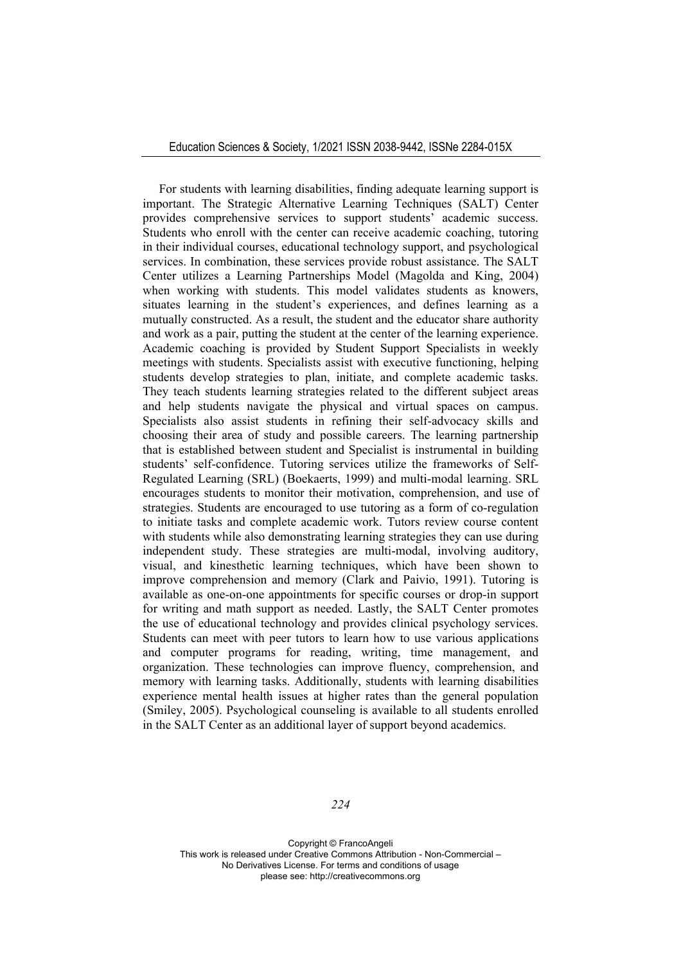For students with learning disabilities, finding adequate learning support is important. The Strategic Alternative Learning Techniques (SALT) Center provides comprehensive services to support students' academic success. Students who enroll with the center can receive academic coaching, tutoring in their individual courses, educational technology support, and psychological services. In combination, these services provide robust assistance. The SALT Center utilizes a Learning Partnerships Model (Magolda and King, 2004) when working with students. This model validates students as knowers, situates learning in the student's experiences, and defines learning as a mutually constructed. As a result, the student and the educator share authority and work as a pair, putting the student at the center of the learning experience. Academic coaching is provided by Student Support Specialists in weekly meetings with students. Specialists assist with executive functioning, helping students develop strategies to plan, initiate, and complete academic tasks. They teach students learning strategies related to the different subject areas and help students navigate the physical and virtual spaces on campus. Specialists also assist students in refining their self-advocacy skills and choosing their area of study and possible careers. The learning partnership that is established between student and Specialist is instrumental in building students' self-confidence. Tutoring services utilize the frameworks of Self-Regulated Learning (SRL) (Boekaerts, 1999) and multi-modal learning. SRL encourages students to monitor their motivation, comprehension, and use of strategies. Students are encouraged to use tutoring as a form of co-regulation to initiate tasks and complete academic work. Tutors review course content with students while also demonstrating learning strategies they can use during independent study. These strategies are multi-modal, involving auditory, visual, and kinesthetic learning techniques, which have been shown to improve comprehension and memory (Clark and Paivio, 1991). Tutoring is available as one-on-one appointments for specific courses or drop-in support for writing and math support as needed. Lastly, the SALT Center promotes the use of educational technology and provides clinical psychology services. Students can meet with peer tutors to learn how to use various applications and computer programs for reading, writing, time management, and organization. These technologies can improve fluency, comprehension, and memory with learning tasks. Additionally, students with learning disabilities experience mental health issues at higher rates than the general population (Smiley, 2005). Psychological counseling is available to all students enrolled in the SALT Center as an additional layer of support beyond academics.

*224*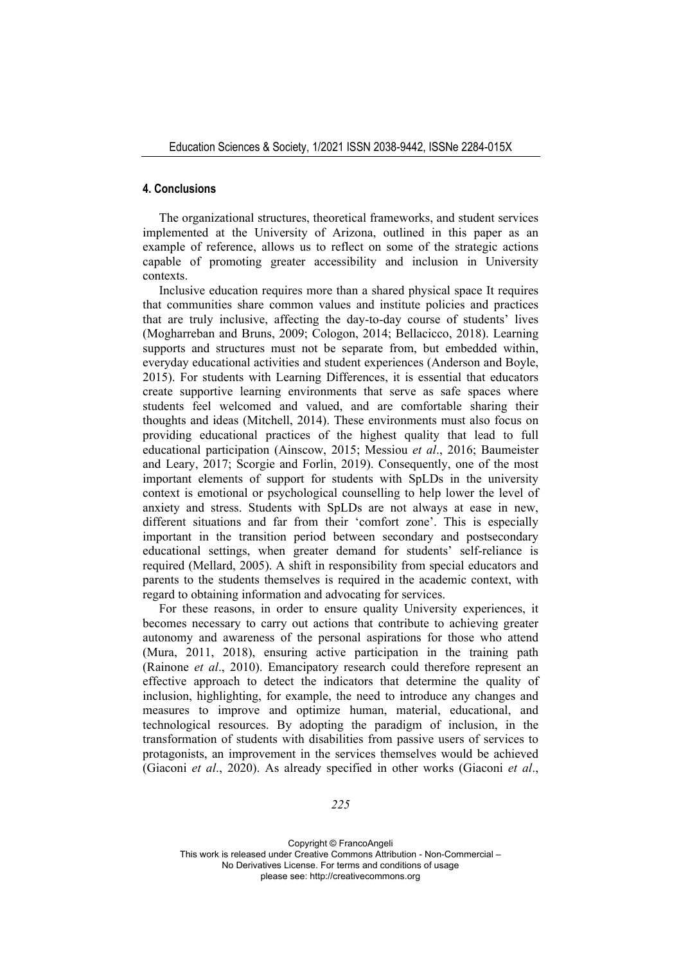#### **4. Conclusions**

The organizational structures, theoretical frameworks, and student services implemented at the University of Arizona, outlined in this paper as an example of reference, allows us to reflect on some of the strategic actions capable of promoting greater accessibility and inclusion in University contexts.

Inclusive education requires more than a shared physical space It requires that communities share common values and institute policies and practices that are truly inclusive, affecting the day-to-day course of students' lives (Mogharreban and Bruns, 2009; Cologon, 2014; Bellacicco, 2018). Learning supports and structures must not be separate from, but embedded within, everyday educational activities and student experiences (Anderson and Boyle, 2015). For students with Learning Differences, it is essential that educators create supportive learning environments that serve as safe spaces where students feel welcomed and valued, and are comfortable sharing their thoughts and ideas (Mitchell, 2014). These environments must also focus on providing educational practices of the highest quality that lead to full educational participation (Ainscow, 2015; Messiou *et al*., 2016; Baumeister and Leary, 2017; Scorgie and Forlin, 2019). Consequently, one of the most important elements of support for students with SpLDs in the university context is emotional or psychological counselling to help lower the level of anxiety and stress. Students with SpLDs are not always at ease in new, different situations and far from their 'comfort zone'. This is especially important in the transition period between secondary and postsecondary educational settings, when greater demand for students' self-reliance is required (Mellard, 2005). A shift in responsibility from special educators and parents to the students themselves is required in the academic context, with regard to obtaining information and advocating for services.

For these reasons, in order to ensure quality University experiences, it becomes necessary to carry out actions that contribute to achieving greater autonomy and awareness of the personal aspirations for those who attend (Mura, 2011, 2018), ensuring active participation in the training path (Rainone *et al*., 2010). Emancipatory research could therefore represent an effective approach to detect the indicators that determine the quality of inclusion, highlighting, for example, the need to introduce any changes and measures to improve and optimize human, material, educational, and technological resources. By adopting the paradigm of inclusion, in the transformation of students with disabilities from passive users of services to protagonists, an improvement in the services themselves would be achieved (Giaconi *et al*., 2020). As already specified in other works (Giaconi *et al*.,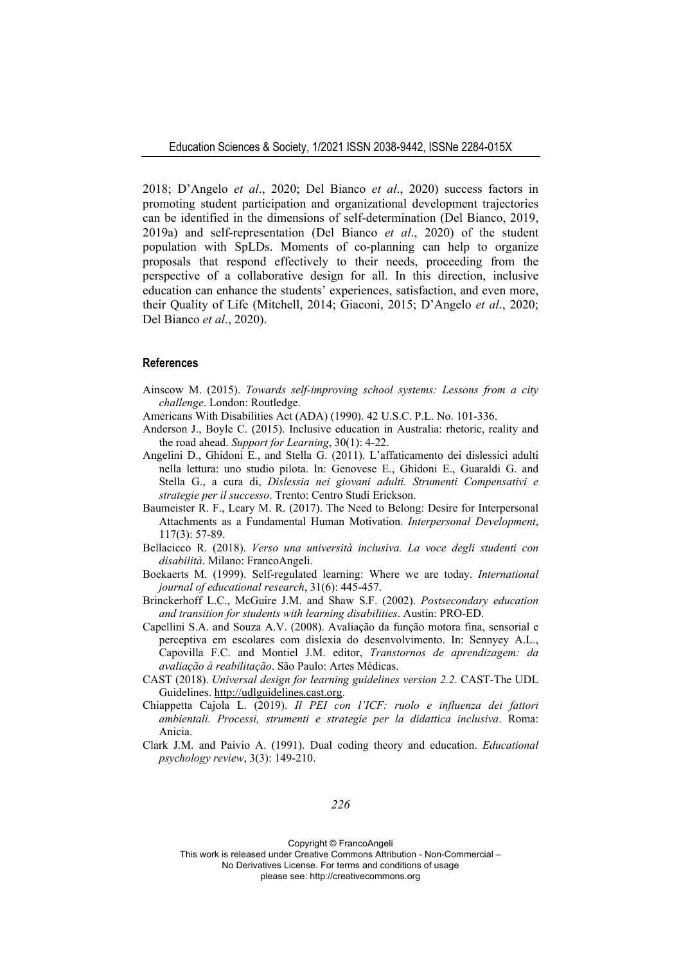2018; D'Angelo *et al*., 2020; Del Bianco *et al*., 2020) success factors in promoting student participation and organizational development trajectories can be identified in the dimensions of self-determination (Del Bianco, 2019, 2019a) and self-representation (Del Bianco *et al*., 2020) of the student population with SpLDs. Moments of co-planning can help to organize proposals that respond effectively to their needs, proceeding from the perspective of a collaborative design for all. In this direction, inclusive education can enhance the students' experiences, satisfaction, and even more, their Quality of Life (Mitchell, 2014; Giaconi, 2015; D'Angelo *et al*., 2020; Del Bianco *et al*., 2020).

#### **References**

- Ainscow M. (2015). *Towards self-improving school systems: Lessons from a city challenge*. London: Routledge.
- Americans With Disabilities Act (ADA) (1990). 42 U.S.C. P.L. No. 101-336.
- Anderson J., Boyle C. (2015). Inclusive education in Australia: rhetoric, reality and the road ahead. *Support for Learning*, 30(1): 4-22.
- Angelini D., Ghidoni E., and Stella G. (2011). L'affaticamento dei dislessici adulti nella lettura: uno studio pilota. In: Genovese E., Ghidoni E., Guaraldi G. and Stella G., a cura di, *Dislessia nei giovani adulti. Strumenti Compensativi e strategie per il successo*. Trento: Centro Studi Erickson.
- Baumeister R. F., Leary M. R. (2017). The Need to Belong: Desire for Interpersonal Attachments as a Fundamental Human Motivation. *Interpersonal Development*, 117(3): 57-89.
- Bellacicco R. (2018). *Verso una università inclusiva. La voce degli studenti con disabilità*. Milano: FrancoAngeli.
- Boekaerts M. (1999). Self-regulated learning: Where we are today. *International journal of educational research*, 31(6): 445-457.
- Brinckerhoff L.C., McGuire J.M. and Shaw S.F. (2002). *Postsecondary education and transition for students with learning disabilities*. Austin: PRO-ED.
- Capellini S.A. and Souza A.V. (2008). Avaliação da função motora fina, sensorial e perceptiva em escolares com dislexia do desenvolvimento. In: Sennyey A.L., Capovilla F.C. and Montiel J.M. editor, *Transtornos de aprendizagem: da avaliação à reabilitação*. São Paulo: Artes Médicas.
- CAST (2018). *Universal design for learning guidelines version 2.2*. CAST-The UDL Guidelines. http://udlguidelines.cast.org.
- Chiappetta Cajola L. (2019). *Il PEI con l'ICF: ruolo e influenza dei fattori ambientali. Processi, strumenti e strategie per la didattica inclusiva*. Roma: Anicia.
- Clark J.M. and Paivio A. (1991). Dual coding theory and education. *Educational psychology review*, 3(3): 149-210.

*226* 

Copyright © FrancoAngeli

This work is released under Creative Commons Attribution - Non-Commercial –

No Derivatives License. For terms and conditions of usage

please see: http://creativecommons.org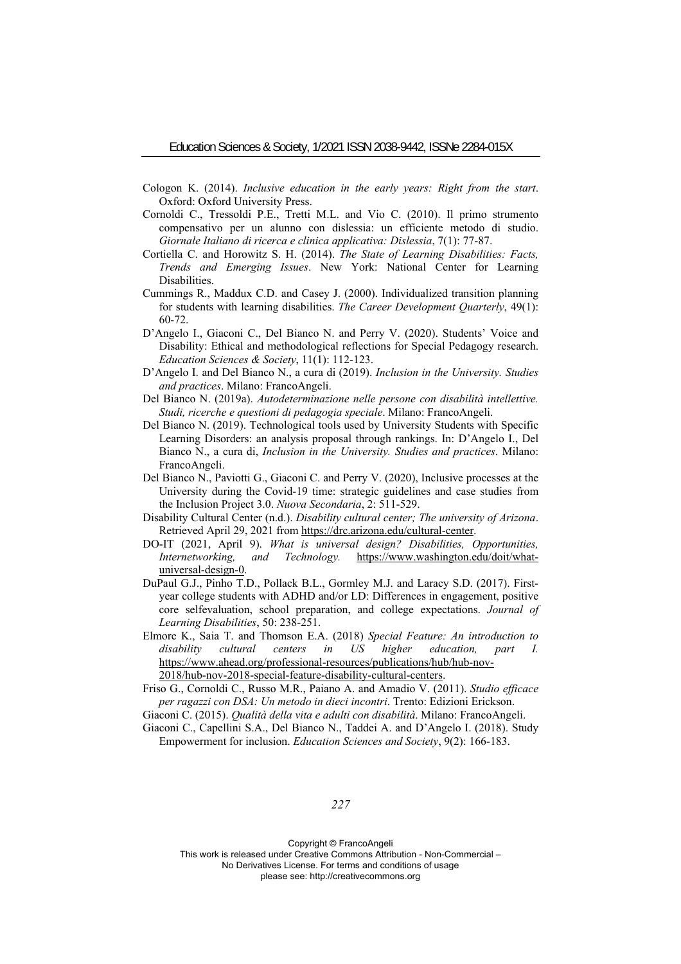- Cologon K. (2014). *Inclusive education in the early years: Right from the start*. Oxford: Oxford University Press.
- Cornoldi C., Tressoldi P.E., Tretti M.L. and Vio C. (2010). Il primo strumento compensativo per un alunno con dislessia: un efficiente metodo di studio. *Giornale Italiano di ricerca e clinica applicativa: Dislessia*, 7(1): 77-87.
- Cortiella C. and Horowitz S. H. (2014). *The State of Learning Disabilities: Facts, Trends and Emerging Issues*. New York: National Center for Learning Disabilities.
- Cummings R., Maddux C.D. and Casey J. (2000). Individualized transition planning for students with learning disabilities. *The Career Development Quarterly*, 49(1): 60-72.
- D'Angelo I., Giaconi C., Del Bianco N. and Perry V. (2020). Students' Voice and Disability: Ethical and methodological reflections for Special Pedagogy research. *Education Sciences & Society*, 11(1): 112-123.
- D'Angelo I. and Del Bianco N., a cura di (2019). *Inclusion in the University. Studies and practices*. Milano: FrancoAngeli.
- Del Bianco N. (2019a). *Autodeterminazione nelle persone con disabilità intellettive. Studi, ricerche e questioni di pedagogia speciale*. Milano: FrancoAngeli.
- Del Bianco N. (2019). Technological tools used by University Students with Specific Learning Disorders: an analysis proposal through rankings. In: D'Angelo I., Del Bianco N., a cura di, *Inclusion in the University. Studies and practices*. Milano: FrancoAngeli.
- Del Bianco N., Paviotti G., Giaconi C. and Perry V. (2020), Inclusive processes at the University during the Covid-19 time: strategic guidelines and case studies from the Inclusion Project 3.0. *Nuova Secondaria*, 2: 511-529.
- Disability Cultural Center (n.d.). *Disability cultural center; The university of Arizona*. Retrieved April 29, 2021 from https://drc.arizona.edu/cultural-center.
- DO-IT (2021, April 9). *What is universal design? Disabilities, Opportunities, Internetworking, and Technology.* https://www.washington.edu/doit/whatuniversal-design-0.
- DuPaul G.J., Pinho T.D., Pollack B.L., Gormley M.J. and Laracy S.D. (2017). Firstyear college students with ADHD and/or LD: Differences in engagement, positive core selfevaluation, school preparation, and college expectations. *Journal of Learning Disabilities*, 50: 238-251.
- Elmore K., Saia T. and Thomson E.A. (2018) *Special Feature: An introduction to disability cultural centers in US higher education, part I.* https://www.ahead.org/professional-resources/publications/hub/hub-nov-2018/hub-nov-2018-special-feature-disability-cultural-centers.

Friso G., Cornoldi C., Russo M.R., Paiano A. and Amadio V. (2011). *Studio efficace per ragazzi con DSA: Un metodo in dieci incontri*. Trento: Edizioni Erickson.

Giaconi C., Capellini S.A., Del Bianco N., Taddei A. and D'Angelo I. (2018). Study Empowerment for inclusion. *Education Sciences and Society*, 9(2): 166-183.

*227* 

Giaconi C. (2015). *Qualità della vita e adulti con disabilità*. Milano: FrancoAngeli.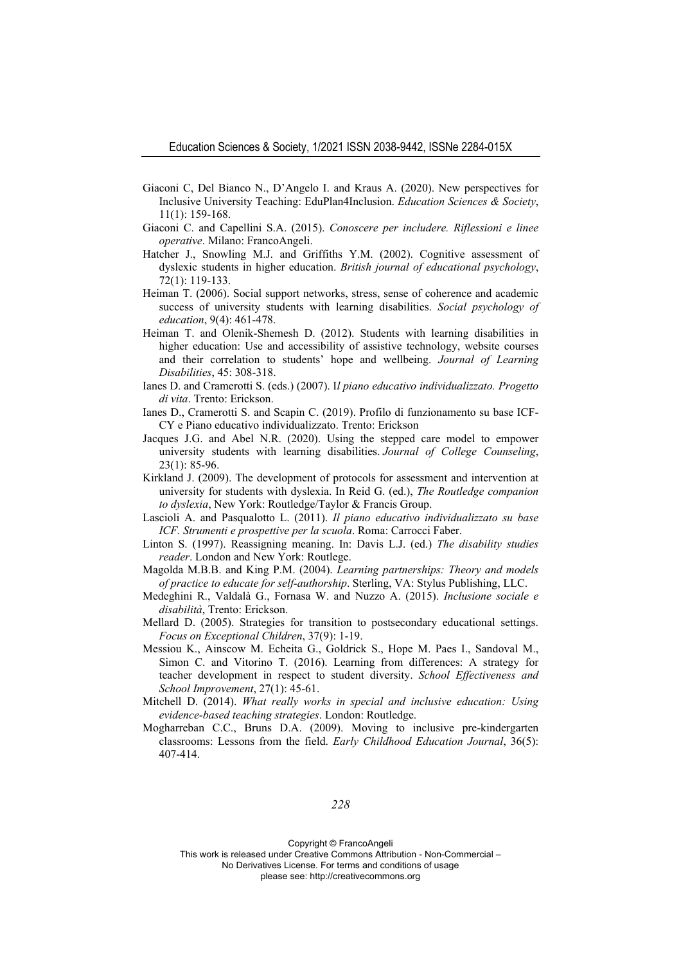- Giaconi C, Del Bianco N., D'Angelo I. and Kraus A. (2020). New perspectives for Inclusive University Teaching: EduPlan4Inclusion. *Education Sciences & Society*, 11(1): 159-168.
- Giaconi C. and Capellini S.A. (2015). *Conoscere per includere. Riflessioni e linee operative*. Milano: FrancoAngeli.
- Hatcher J., Snowling M.J. and Griffiths Y.M. (2002). Cognitive assessment of dyslexic students in higher education. *British journal of educational psychology*, 72(1): 119-133.
- Heiman T. (2006). Social support networks, stress, sense of coherence and academic success of university students with learning disabilities. *Social psychology of education*, 9(4): 461-478.
- Heiman T. and Olenik-Shemesh D. (2012). Students with learning disabilities in higher education: Use and accessibility of assistive technology, website courses and their correlation to students' hope and wellbeing. *Journal of Learning Disabilities*, 45: 308-318.
- Ianes D. and Cramerotti S. (eds.) (2007). I*l piano educativo individualizzato. Progetto di vita*. Trento: Erickson.
- Ianes D., Cramerotti S. and Scapin C. (2019). Profilo di funzionamento su base ICF-CY e Piano educativo individualizzato. Trento: Erickson
- Jacques J.G. and Abel N.R. (2020). Using the stepped care model to empower university students with learning disabilities. *Journal of College Counseling*, 23(1): 85-96.
- Kirkland J. (2009). The development of protocols for assessment and intervention at university for students with dyslexia. In Reid G. (ed.), *The Routledge companion to dyslexia*, New York: Routledge/Taylor & Francis Group.
- Lascioli A. and Pasqualotto L. (2011). *Il piano educativo individualizzato su base ICF. Strumenti e prospettive per la scuola*. Roma: Carrocci Faber.
- Linton S. (1997). Reassigning meaning. In: Davis L.J. (ed.) *The disability studies reader*. London and New York: Routlege.
- Magolda M.B.B. and King P.M. (2004). *Learning partnerships: Theory and models of practice to educate for self-authorship*. Sterling, VA: Stylus Publishing, LLC.
- Medeghini R., Valdalà G., Fornasa W. and Nuzzo A. (2015). *Inclusione sociale e disabilità*, Trento: Erickson.
- Mellard D. (2005). Strategies for transition to postsecondary educational settings. *Focus on Exceptional Children*, 37(9): 1-19.
- Messiou K., Ainscow M. Echeita G., Goldrick S., Hope M. Paes I., Sandoval M., Simon C. and Vitorino T. (2016). Learning from differences: A strategy for teacher development in respect to student diversity. *School Effectiveness and School Improvement*, 27(1): 45-61.
- Mitchell D. (2014). *What really works in special and inclusive education: Using evidence-based teaching strategies*. London: Routledge.
- Mogharreban C.C., Bruns D.A. (2009). Moving to inclusive pre-kindergarten classrooms: Lessons from the field. *Early Childhood Education Journal*, 36(5): 407-414.